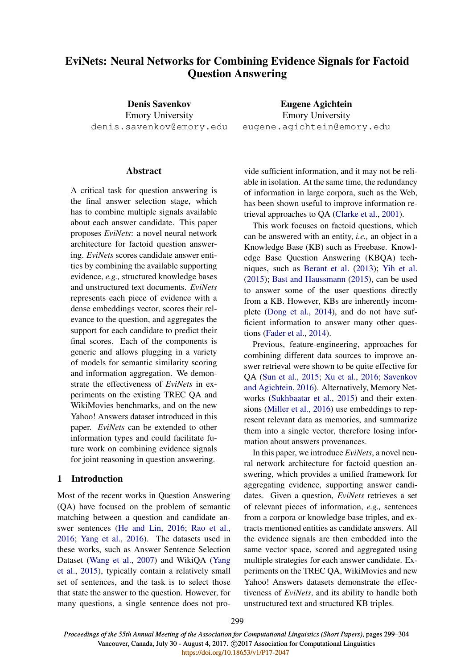# EviNets: Neural Networks for Combining Evidence Signals for Factoid Question Answering

Denis Savenkov Emory University denis.savenkov@emory.edu

### Abstract

A critical task for question answering is the final answer selection stage, which has to combine multiple signals available about each answer candidate. This paper proposes *EviNets*: a novel neural network architecture for factoid question answering. *EviNets* scores candidate answer entities by combining the available supporting evidence, *e.g.,* structured knowledge bases and unstructured text documents. *EviNets* represents each piece of evidence with a dense embeddings vector, scores their relevance to the question, and aggregates the support for each candidate to predict their final scores. Each of the components is generic and allows plugging in a variety of models for semantic similarity scoring and information aggregation. We demonstrate the effectiveness of *EviNets* in experiments on the existing TREC QA and WikiMovies benchmarks, and on the new Yahoo! Answers dataset introduced in this paper. *EviNets* can be extended to other information types and could facilitate future work on combining evidence signals for joint reasoning in question answering.

### 1 Introduction

Most of the recent works in Question Answering (QA) have focused on the problem of semantic matching between a question and candidate answer sentences (He and Lin, 2016; Rao et al., 2016; Yang et al., 2016). The datasets used in these works, such as Answer Sentence Selection Dataset (Wang et al., 2007) and WikiQA (Yang et al., 2015), typically contain a relatively small set of sentences, and the task is to select those that state the answer to the question. However, for many questions, a single sentence does not pro-

Eugene Agichtein Emory University eugene.agichtein@emory.edu

vide sufficient information, and it may not be reliable in isolation. At the same time, the redundancy of information in large corpora, such as the Web, has been shown useful to improve information retrieval approaches to QA (Clarke et al., 2001).

This work focuses on factoid questions, which can be answered with an entity, *i.e.,* an object in a Knowledge Base (KB) such as Freebase. Knowledge Base Question Answering (KBQA) techniques, such as Berant et al. (2013); Yih et al. (2015); Bast and Haussmann (2015), can be used to answer some of the user questions directly from a KB. However, KBs are inherently incomplete (Dong et al., 2014), and do not have sufficient information to answer many other questions (Fader et al., 2014).

Previous, feature-engineering, approaches for combining different data sources to improve answer retrieval were shown to be quite effective for QA (Sun et al., 2015; Xu et al., 2016; Savenkov and Agichtein, 2016). Alternatively, Memory Networks (Sukhbaatar et al., 2015) and their extensions (Miller et al., 2016) use embeddings to represent relevant data as memories, and summarize them into a single vector, therefore losing information about answers provenances.

In this paper, we introduce *EviNets*, a novel neural network architecture for factoid question answering, which provides a unified framework for aggregating evidence, supporting answer candidates. Given a question, *EviNets* retrieves a set of relevant pieces of information, *e.g.,* sentences from a corpora or knowledge base triples, and extracts mentioned entities as candidate answers. All the evidence signals are then embedded into the same vector space, scored and aggregated using multiple strategies for each answer candidate. Experiments on the TREC QA, WikiMovies and new Yahoo! Answers datasets demonstrate the effectiveness of *EviNets*, and its ability to handle both unstructured text and structured KB triples.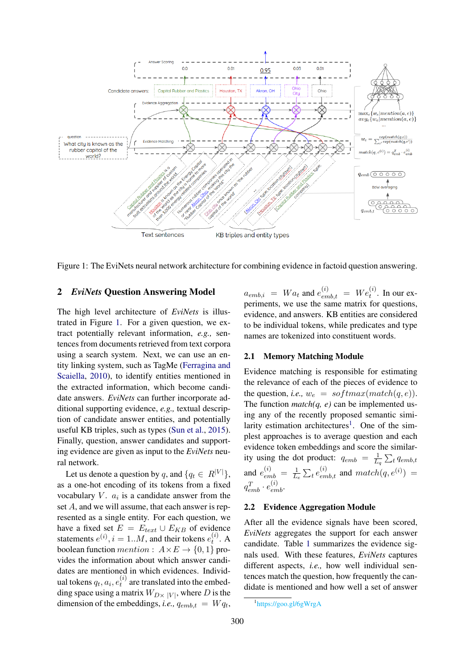

Figure 1: The EviNets neural network architecture for combining evidence in factoid question answering.

# 2 *EviNets* Question Answering Model

The high level architecture of *EviNets* is illustrated in Figure 1. For a given question, we extract potentially relevant information, *e.g.,* sentences from documents retrieved from text corpora using a search system. Next, we can use an entity linking system, such as TagMe (Ferragina and Scaiella, 2010), to identify entities mentioned in the extracted information, which become candidate answers. *EviNets* can further incorporate additional supporting evidence, *e.g.,* textual description of candidate answer entities, and potentially useful KB triples, such as types (Sun et al., 2015). Finally, question, answer candidates and supporting evidence are given as input to the *EviNets* neural network.

Let us denote a question by q, and  $\{q_t \in R^{|V|}\},\$ as a one-hot encoding of its tokens from a fixed vocabulary  $V$ .  $a_i$  is a candidate answer from the set A, and we will assume, that each answer is represented as a single entity. For each question, we have a fixed set  $E = E_{text} \cup E_{KB}$  of evidence statements  $e^{(i)}$ ,  $i = 1..M$ , and their tokens  $e^{(i)}_t$  $t^{(i)}$ . A boolean function mention :  $A \times E \rightarrow \{0, 1\}$  provides the information about which answer candidates are mentioned in which evidences. Individual tokens  $q_t, a_i, e_t^{(i)}$  $t^{(i)}$  are translated into the embedding space using a matrix  $W_{D\times |V|}$ , where D is the dimension of the embeddings, *i.e.*,  $q_{emb,t} = Wq_t$ ,

 $a_{emb,i}$  =  $Wa_t$  and  $e_{emb,t}^{(i)}$  =  $We_t^{(i)}$ . In our experiments, we use the same matrix for questions, evidence, and answers. KB entities are considered to be individual tokens, while predicates and type names are tokenized into constituent words.

#### 2.1 Memory Matching Module

Evidence matching is responsible for estimating the relevance of each of the pieces of evidence to the question, *i.e.*,  $w_e = softmax(match(q, e))$ . The function  $match(q, e)$  can be implemented using any of the recently proposed semantic similarity estimation architectures<sup>1</sup>. One of the simplest approaches is to average question and each evidence token embeddings and score the similarity using the dot product:  $q_{emb} = \frac{1}{L}$  $\frac{1}{L_q} \sum_t q_{emb,t}$ and  $e_{emb}^{(i)} = \frac{1}{L}$  $\frac{1}{L_e} \sum_t e^{(i)}_{emb,t}$  and  $match(q, e^{(i)})$  =  $q_{emb}^T \cdot e_{emb}^{(i)}$ .

### 2.2 Evidence Aggregation Module

After all the evidence signals have been scored, *EviNets* aggregates the support for each answer candidate. Table 1 summarizes the evidence signals used. With these features, *EviNets* captures different aspects, *i.e.,* how well individual sentences match the question, how frequently the candidate is mentioned and how well a set of answer

<sup>1</sup> https://goo.gl/6gWrgA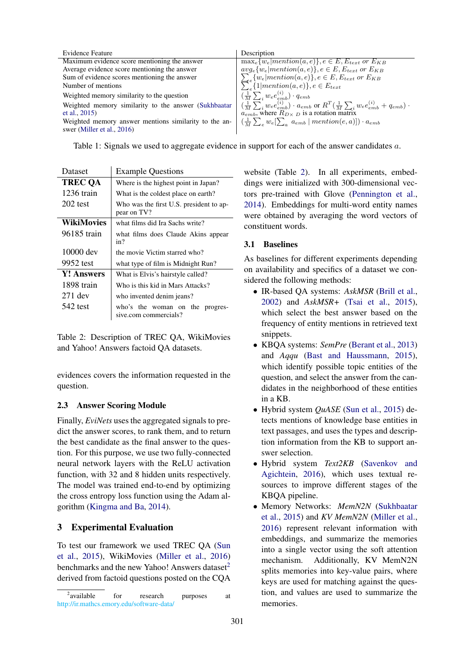| Evidence Feature                                      | Description                                                                                                                                                                                   |
|-------------------------------------------------------|-----------------------------------------------------------------------------------------------------------------------------------------------------------------------------------------------|
| Maximum evidence score mentioning the answer          | $\max_{e} \{w_e   mention(a, e)\}, e \in E, E_{text}$ or $E_{KB}$                                                                                                                             |
| Average evidence score mentioning the answer          | $avg_e{w_e mentation(a, e)}, e \in E, E_{text}$ or $E_{KB}$                                                                                                                                   |
| Sum of evidence scores mentioning the answer          | $\sum_{e} \{w_e   mention(a, e)\}, e \in E, E_{text} or E_{KB}$ $\sum_{e} \{1   mention(a, e)\}, e \in E_{text}$                                                                              |
| Number of mentions                                    |                                                                                                                                                                                               |
| Weighted memory similarity to the question            | $\left(\frac{1}{M}\sum_i w_e e^{(i)}_{emb}\right) \cdot q_{emb}$                                                                                                                              |
| Weighted memory similarity to the answer (Sukhbaatar  | $\left(\frac{1}{M}\sum_{i} w_{e} e_{emb}^{(i)}\right) \cdot a_{emb}$ or $R^{T}(\frac{1}{M}\sum_{i} w_{e} e_{emb}^{(i)} + q_{emb}) \cdot a_{emb}$ , where $R_{D\times D}$ is a rotation matrix |
| et al., $2015$ )                                      |                                                                                                                                                                                               |
| Weighted memory answer mentions similarity to the an- | $\left(\frac{1}{M}\sum_{e}w_{e}[\sum_{a} a_{emb}   mention(e, a)]\right) \cdot a_{emb}$                                                                                                       |
| swer (Miller et al., 2016)                            |                                                                                                                                                                                               |

Table 1: Signals we used to aggregate evidence in support for each of the answer candidates a.

| Dataset           | <b>Example Questions</b>                                 |  |
|-------------------|----------------------------------------------------------|--|
| <b>TREC QA</b>    | Where is the highest point in Japan?                     |  |
| 1236 train        | What is the coldest place on earth?                      |  |
| $202$ test        | Who was the first U.S. president to ap-<br>pear on TV?   |  |
| WikiMovies        | what films did Ira Sachs write?                          |  |
| 96185 train       | what films does Claude Akins appear<br>in?               |  |
| 10000 dev         | the movie Victim starred who?                            |  |
| 9952 test         | what type of film is Midnight Run?                       |  |
| <b>Y!</b> Answers | What is Elvis's hairstyle called?                        |  |
| 1898 train        | Who is this kid in Mars Attacks?                         |  |
| $271$ dev         | who invented denim jeans?                                |  |
| 542 test          | who's the woman on the progres-<br>sive.com commercials? |  |

Table 2: Description of TREC QA, WikiMovies and Yahoo! Answers factoid QA datasets.

evidences covers the information requested in the question.

# 2.3 Answer Scoring Module

Finally, *EviNets* uses the aggregated signals to predict the answer scores, to rank them, and to return the best candidate as the final answer to the question. For this purpose, we use two fully-connected neural network layers with the ReLU activation function, with 32 and 8 hidden units respectively. The model was trained end-to-end by optimizing the cross entropy loss function using the Adam algorithm (Kingma and Ba, 2014).

# 3 Experimental Evaluation

To test our framework we used TREC QA (Sun et al., 2015), WikiMovies (Miller et al., 2016) benchmarks and the new Yahoo! Answers dataset $2$ derived from factoid questions posted on the CQA

website (Table 2). In all experiments, embeddings were initialized with 300-dimensional vectors pre-trained with Glove (Pennington et al., 2014). Embeddings for multi-word entity names were obtained by averaging the word vectors of constituent words.

# 3.1 Baselines

As baselines for different experiments depending on availability and specifics of a dataset we considered the following methods:

- IR-based QA systems: *AskMSR* (Brill et al., 2002) and *AskMSR+* (Tsai et al., 2015), which select the best answer based on the frequency of entity mentions in retrieved text snippets.
- KBQA systems: *SemPre* (Berant et al., 2013) and *Aqqu* (Bast and Haussmann, 2015), which identify possible topic entities of the question, and select the answer from the candidates in the neighborhood of these entities in a KB.
- Hybrid system *QuASE* (Sun et al., 2015) detects mentions of knowledge base entities in text passages, and uses the types and description information from the KB to support answer selection.
- Hybrid system *Text2KB* (Savenkov and Agichtein, 2016), which uses textual resources to improve different stages of the KBQA pipeline.
- Memory Networks: *MemN2N* (Sukhbaatar et al., 2015) and *KV MemN2N* (Miller et al., 2016) represent relevant information with embeddings, and summarize the memories into a single vector using the soft attention mechanism. Additionally, KV MemN2N splits memories into key-value pairs, where keys are used for matching against the question, and values are used to summarize the memories.

 $2$ <sub>available</sub> for research purposes at http://ir.mathcs.emory.edu/software-data/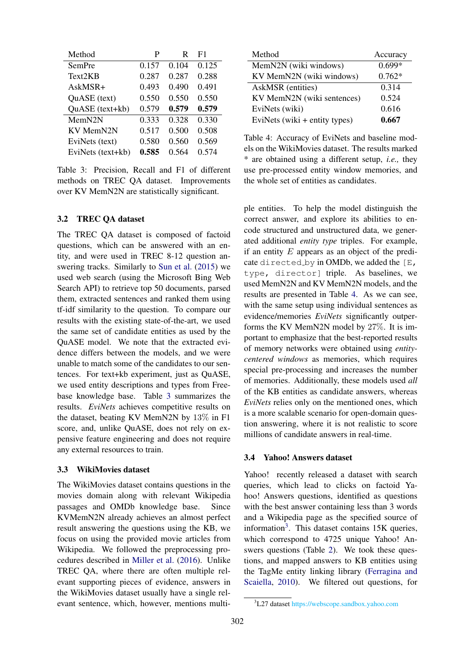| Method            | P     | R     | F1    |
|-------------------|-------|-------|-------|
| SemPre            | 0.157 | 0.104 | 0.125 |
| Text2KB           | 0.287 | 0.287 | 0.288 |
| AskMSR+           | 0.493 | 0.490 | 0.491 |
| QuASE (text)      | 0.550 | 0.550 | 0.550 |
| QuASE (text+kb)   | 0.579 | 0.579 | 0.579 |
| MemN2N            | 0.333 | 0.328 | 0.330 |
| KV MemN2N         | 0.517 | 0.500 | 0.508 |
| EviNets (text)    | 0.580 | 0.560 | 0.569 |
| EviNets (text+kb) | 0.585 | 0.564 | 0.574 |

Table 3: Precision, Recall and F1 of different methods on TREC QA dataset. Improvements over KV MemN2N are statistically significant.

#### 3.2 TREC QA dataset

The TREC QA dataset is composed of factoid questions, which can be answered with an entity, and were used in TREC 8-12 question answering tracks. Similarly to Sun et al. (2015) we used web search (using the Microsoft Bing Web Search API) to retrieve top 50 documents, parsed them, extracted sentences and ranked them using tf-idf similarity to the question. To compare our results with the existing state-of-the-art, we used the same set of candidate entities as used by the QuASE model. We note that the extracted evidence differs between the models, and we were unable to match some of the candidates to our sentences. For text+kb experiment, just as QuASE, we used entity descriptions and types from Freebase knowledge base. Table 3 summarizes the results. *EviNets* achieves competitive results on the dataset, beating KV MemN2N by 13% in F1 score, and, unlike QuASE, does not rely on expensive feature engineering and does not require any external resources to train.

#### 3.3 WikiMovies dataset

The WikiMovies dataset contains questions in the movies domain along with relevant Wikipedia passages and OMDb knowledge base. Since KVMemN2N already achieves an almost perfect result answering the questions using the KB, we focus on using the provided movie articles from Wikipedia. We followed the preprocessing procedures described in Miller et al. (2016). Unlike TREC QA, where there are often multiple relevant supporting pieces of evidence, answers in the WikiMovies dataset usually have a single relevant sentence, which, however, mentions multi-

| Method                        | Accuracy |
|-------------------------------|----------|
| MemN2N (wiki windows)         | $0.699*$ |
| KV MemN2N (wiki windows)      | $0.762*$ |
| AskMSR (entities)             | 0.314    |
| KV MemN2N (wiki sentences)    | 0.524    |
| EviNets (wiki)                | 0.616    |
| EviNets (wiki + entity types) | 0.667    |

Table 4: Accuracy of EviNets and baseline models on the WikiMovies dataset. The results marked \* are obtained using a different setup, *i.e.,* they use pre-processed entity window memories, and the whole set of entities as candidates.

ple entities. To help the model distinguish the correct answer, and explore its abilities to encode structured and unstructured data, we generated additional *entity type* triples. For example, if an entity  $E$  appears as an object of the predicate directed by in OMDb, we added the  $[E, E]$ type, director] triple. As baselines, we used MemN2N and KV MemN2N models, and the results are presented in Table 4. As we can see, with the same setup using individual sentences as evidence/memories *EviNets* significantly outperforms the KV MemN2N model by 27%. It is important to emphasize that the best-reported results of memory networks were obtained using *entitycentered windows* as memories, which requires special pre-processing and increases the number of memories. Additionally, these models used *all* of the KB entities as candidate answers, whereas *EviNets* relies only on the mentioned ones, which is a more scalable scenario for open-domain question answering, where it is not realistic to score millions of candidate answers in real-time.

#### 3.4 Yahoo! Answers dataset

Yahoo! recently released a dataset with search queries, which lead to clicks on factoid Yahoo! Answers questions, identified as questions with the best answer containing less than 3 words and a Wikipedia page as the specified source of information<sup>3</sup>. This dataset contains 15K queries, which correspond to 4725 unique Yahoo! Answers questions (Table 2). We took these questions, and mapped answers to KB entities using the TagMe entity linking library (Ferragina and Scaiella, 2010). We filtered out questions, for

<sup>3</sup>L27 dataset https://webscope.sandbox.yahoo.com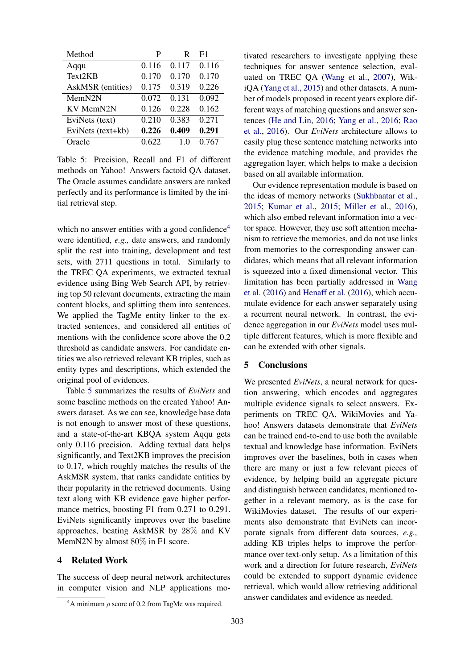| Method            | P     | R     | F1    |
|-------------------|-------|-------|-------|
| Aqqu              | 0.116 | 0.117 | 0.116 |
| Text2KB           | 0.170 | 0.170 | 0.170 |
| AskMSR (entities) | 0.175 | 0.319 | 0.226 |
| MemN2N            | 0.072 | 0.131 | 0.092 |
| KV MemN2N         | 0.126 | 0.228 | 0.162 |
| EviNets (text)    | 0.210 | 0.383 | 0.271 |
| EviNets (text+kb) | 0.226 | 0.409 | 0.291 |
| Oracle            | 0.622 | 10    | 0.767 |

Table 5: Precision, Recall and F1 of different methods on Yahoo! Answers factoid QA dataset. The Oracle assumes candidate answers are ranked perfectly and its performance is limited by the initial retrieval step.

which no answer entities with a good confidence $4$ were identified, *e.g.,* date answers, and randomly split the rest into training, development and test sets, with 2711 questions in total. Similarly to the TREC QA experiments, we extracted textual evidence using Bing Web Search API, by retrieving top 50 relevant documents, extracting the main content blocks, and splitting them into sentences. We applied the TagMe entity linker to the extracted sentences, and considered all entities of mentions with the confidence score above the 0.2 threshold as candidate answers. For candidate entities we also retrieved relevant KB triples, such as entity types and descriptions, which extended the original pool of evidences.

Table 5 summarizes the results of *EviNets* and some baseline methods on the created Yahoo! Answers dataset. As we can see, knowledge base data is not enough to answer most of these questions, and a state-of-the-art KBQA system Aqqu gets only 0.116 precision. Adding textual data helps significantly, and Text2KB improves the precision to 0.17, which roughly matches the results of the AskMSR system, that ranks candidate entities by their popularity in the retrieved documents. Using text along with KB evidence gave higher performance metrics, boosting F1 from 0.271 to 0.291. EviNets significantly improves over the baseline approaches, beating AskMSR by 28% and KV MemN2N by almost  $80\%$  in F1 score.

## 4 Related Work

The success of deep neural network architectures in computer vision and NLP applications mo-

<sup>4</sup>A minimum  $ρ$  score of 0.2 from TagMe was required.

tivated researchers to investigate applying these techniques for answer sentence selection, evaluated on TREC QA (Wang et al., 2007), WikiQA (Yang et al., 2015) and other datasets. A number of models proposed in recent years explore different ways of matching questions and answer sentences (He and Lin, 2016; Yang et al., 2016; Rao et al., 2016). Our *EviNets* architecture allows to easily plug these sentence matching networks into the evidence matching module, and provides the aggregation layer, which helps to make a decision based on all available information.

Our evidence representation module is based on the ideas of memory networks (Sukhbaatar et al., 2015; Kumar et al., 2015; Miller et al., 2016), which also embed relevant information into a vector space. However, they use soft attention mechanism to retrieve the memories, and do not use links from memories to the corresponding answer candidates, which means that all relevant information is squeezed into a fixed dimensional vector. This limitation has been partially addressed in Wang et al. (2016) and Henaff et al. (2016), which accumulate evidence for each answer separately using a recurrent neural network. In contrast, the evidence aggregation in our *EviNets* model uses multiple different features, which is more flexible and can be extended with other signals.

# 5 Conclusions

We presented *EviNets*, a neural network for question answering, which encodes and aggregates multiple evidence signals to select answers. Experiments on TREC QA, WikiMovies and Yahoo! Answers datasets demonstrate that *EviNets* can be trained end-to-end to use both the available textual and knowledge base information. EviNets improves over the baselines, both in cases when there are many or just a few relevant pieces of evidence, by helping build an aggregate picture and distinguish between candidates, mentioned together in a relevant memory, as is the case for WikiMovies dataset. The results of our experiments also demonstrate that EviNets can incorporate signals from different data sources, *e.g.,* adding KB triples helps to improve the performance over text-only setup. As a limitation of this work and a direction for future research, *EviNets* could be extended to support dynamic evidence retrieval, which would allow retrieving additional answer candidates and evidence as needed.